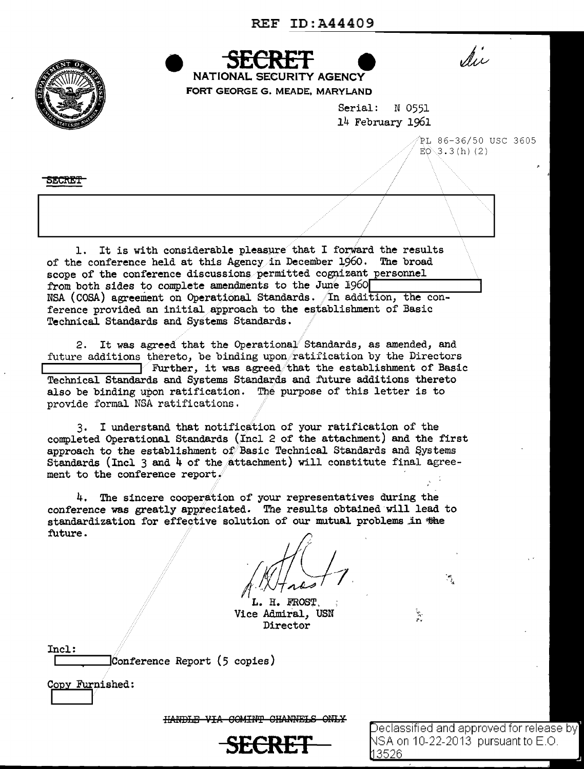REF ID:A44409



NSA (COSA) agreement on Operational Standards. In addition, the conference provided an initial approach to the establishment of Basic Technical Standards and Systems Standards.

2. It was agreed that the Operational Standards, as amended, and future additions thereto, be binding upon ratification by the Directors  $\mathcal V$  Further, it was agreed that the establishment of Basic Technical Standards and Systems Standards and future additions thereto also be binding upon ratification. The purpose of this letter is to provide formal NSA ratifications.

3. I understand that notification of your ratification of the completed Operational Standards (Incl 2 of the attachment) and the first approach to the establishment of Basic Technical Standards and Systems Standards (Incl 3 and 4 of the attachment) will constitute final agreement to the conference report.

4. The sincere cooperation of your representatives during the conference was greatly appreciated. The results obtained'will lead to standardization for effective solution of our mutual problems in the future.

*1t!Ji-1,* 

H. FROST. Vice Admiral, USN Director

 $\emph{Conference Report (5 copies)}$ 

Copy Furnished:

Incl:

HANDLE VIA COMINT CHANNELS ONLY

**SECRET** 

Declassified and approved for release by  $\mid$ NSA on 10-22-2013  $\,$  pursuant to E.O.  $\,$ 3526

 $\mathcal{F}_{\mathbf{L}}$ 

in.<br>Pr